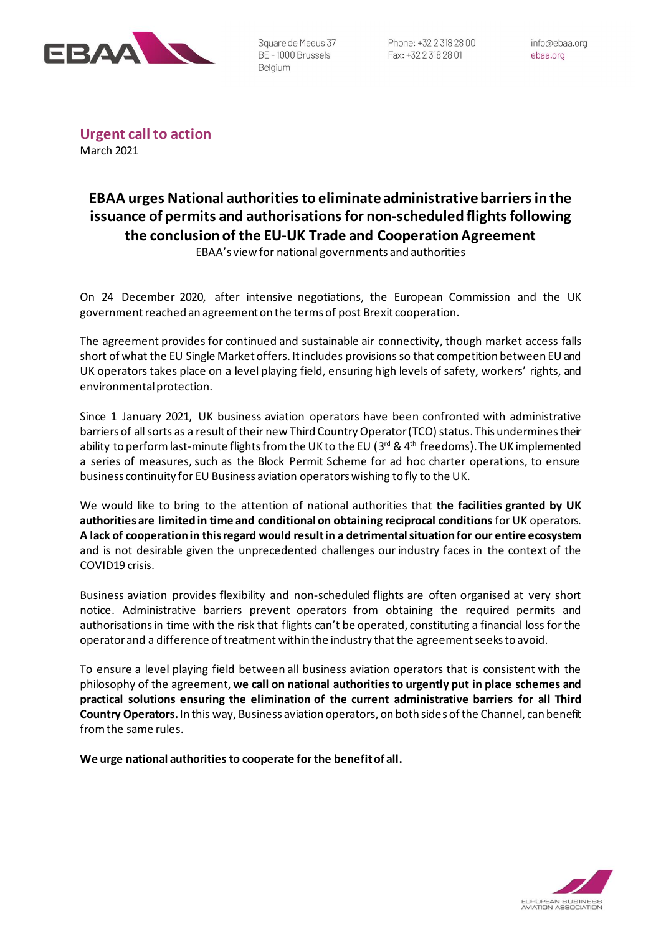

Square de Meeus 37 BE-1000 Brussels Belgium

**Urgent call to action** March 2021

## **EBAA urges National authorities to eliminate administrative barriers in the issuance of permits and authorisations for non-scheduled flights following the conclusion of the EU-UK Trade and Cooperation Agreement**

EBAA's view for national governments and authorities

On 24 December 2020, after intensive negotiations, the European Commission and the UK government reached an agreement on the terms of post Brexit cooperation.

The agreement provides for continued and sustainable air connectivity, though market access falls short of what the EU Single Market offers. It includes provisions so that competition between EU and UK operators takes place on a level playing field, ensuring high levels of safety, workers' rights, and environmental protection.

Since 1 January 2021, UK business aviation operators have been confronted with administrative barriers of all sorts as a result of their new Third Country Operator (TCO) status. This undermines their ability to perform last-minute flights from the UK to the EU (3<sup>rd</sup> & 4<sup>th</sup> freedoms). The UK implemented a series of measures, such as the Block Permit Scheme for ad hoc charter operations, to ensure business continuity for EU Business aviation operators wishing to fly to the UK.

We would like to bring to the attention of national authorities that **the facilities granted by UK authorities are limited in time and conditional on obtaining reciprocal conditions** for UK operators. **A lack of cooperation in this regard would result in a detrimental situation for our entire ecosystem** and is not desirable given the unprecedented challenges our industry faces in the context of the COVID19 crisis.

Business aviation provides flexibility and non-scheduled flights are often organised at very short notice. Administrative barriers prevent operators from obtaining the required permits and authorisationsin time with the risk that flights can't be operated, constituting a financial loss for the operator and a difference of treatment within the industry that the agreement seeksto avoid.

To ensure a level playing field between all business aviation operators that is consistent with the philosophy of the agreement, **we call on national authorities to urgently put in place schemes and practical solutions ensuring the elimination of the current administrative barriers for all Third Country Operators.** In this way, Business aviation operators, on both sides of the Channel, can benefit from the same rules.

**We urge national authorities to cooperate for the benefit of all.**